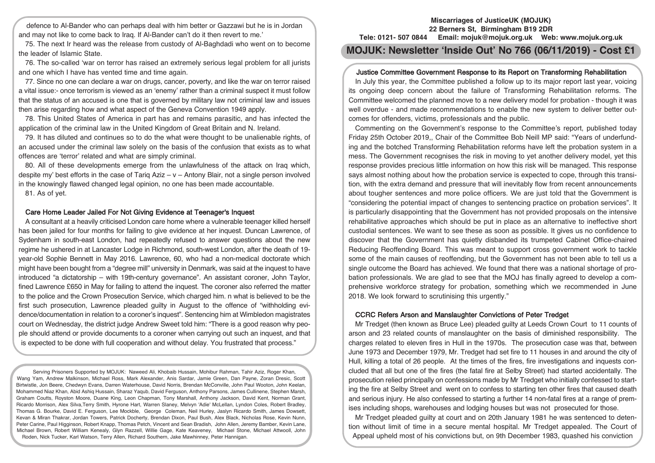defence to Al-Bander who can perhaps deal with him better or Gazzawi but he is in Jordan and may not like to come back to Iraq. If Al-Bander can't do it then revert to me.'

75. The next Ir heard was the release from custody of Al-Baghdadi who went on to become the leader of Islamic State.

76. The so-called 'war on terror has raised an extremely serious legal problem for all jurists and one which I have has vented time and time again.

77. Since no one can declare a war on drugs, cancer, poverty, and like the war on terror raised a vital issue:- once terrorism is viewed as an 'enemy' rather than a criminal suspect it must follow that the status of an accused is one that is governed by military law not criminal law and issues then arise regarding how and what aspect of the Geneva Convention 1949 apply.

78. This United States of America in part has and remains parasitic, and has infected the application of the criminal law in the United Kingdom of Great Britain and N. Ireland.

79. It has diluted and continues so to do the what were thought to be unalienable rights, of an accused under the criminal law solely on the basis of the confusion that exists as to what offences are 'terror' related and what are simply criminal.

80. All of these developments emerge from the unlawfulness of the attack on Iraq which, despite my' best efforts in the case of Tariq Aziz – v – Antony Blair, not a single person involved in the knowingly flawed changed legal opinion, no one has been made accountable. 81. As of yet.

## Care Home Leader Jailed For Not Giving Evidence at Teenager's Inquest

A consultant at a heavily criticised London care home where a vulnerable teenager killed herself has been jailed for four months for failing to give evidence at her inquest. Duncan Lawrence, of Sydenham in south-east London, had repeatedly refused to answer questions about the new regime he ushered in at Lancaster Lodge in Richmond, south-west London, after the death of 19 year-old Sophie Bennett in May 2016. Lawrence, 60, who had a non-medical doctorate which might have been bought from a "degree mill" university in Denmark, was said at the inquest to have introduced "a dictatorship – with 19th-century governance". An assistant coroner, John Taylor, fined Lawrence £650 in May for failing to attend the inquest. The coroner also referred the matter to the police and the Crown Prosecution Service, which charged him. n what is believed to be the first such prosecution, Lawrence pleaded guilty in August to the offence of "withholding evidence/documentation in relation to a coroner's inquest". Sentencing him at Wimbledon magistrates court on Wednesday, the district judge Andrew Sweet told him: "There is a good reason why people should attend or provide documents to a coroner when carrying out such an inquest, and that is expected to be done with full cooperation and without delay. You frustrated that process."

Serving Prisoners Supported by MOJUK: Naweed Ali, Khobaib Hussain, Mohibur Rahman, Tahir Aziz, Roger Khan, Wang Yam, Andrew Malkinson, Michael Ross, Mark Alexander, Anis Sardar, Jamie Green, Dan Payne, Zoran Dresic, Scott Birtwistle, Jon Beere, Chedwyn Evans, Darren Waterhouse, David Norris, Brendan McConville, John Paul Wooton, John Keelan, Mohammed Niaz Khan, Abid Ashiq Hussain, Sharaz Yaqub, David Ferguson, Anthony Parsons, James Cullinene, Stephen Marsh, Graham Coutts, Royston Moore, Duane King, Leon Chapman, Tony Marshall, Anthony Jackson, David Kent, Norman Grant, Ricardo Morrison, Alex Silva,Terry Smith, Hyrone Hart, Warren Slaney, Melvyn 'Adie' McLellan, Lyndon Coles, Robert Bradley, Thomas G. Bourke, David E. Ferguson, Lee Mockble, George Coleman, Neil Hurley, Jaslyn Ricardo Smith, James Dowsett, Kevan & Miran Thakrar, Jordan Towers, Patrick Docherty, Brendan Dixon, Paul Bush, Alex Black, Nicholas Rose, Kevin Nunn, Peter Carine, Paul Higginson, Robert Knapp, Thomas Petch, Vincent and Sean Bradish, John Allen, Jeremy Bamber, Kevin Lane, Michael Brown, Robert William Kenealy, Glyn Razzell, Willie Gage, Kate Keaveney, Michael Stone, Michael Attwooll, John Roden, Nick Tucker, Karl Watson, Terry Allen, Richard Southern, Jake Mawhinney, Peter Hannigan.

# **Miscarriages of JusticeUK (MOJUK) 22 Berners St, Birmingham B19 2DR**

**Tele: 0121- 507 0844 Email: mojuk@mojuk.org.uk Web: www.mojuk.org.uk**

# **MOJUK: Newsletter 'Inside Out' No 766 (06/11/2019) - Cost £1**

#### Justice Committee Government Response to its Report on Transforming Rehabilitation

In July this year, the Committee published a follow up to its major report last year, voicing its ongoing deep concern about the failure of Transforming Rehabilitation reforms. The Committee welcomed the planned move to a new delivery model for probation - though it was well overdue - and made recommendations to enable the new system to deliver better outcomes for offenders, victims, professionals and the public.

Commenting on the Government's response to the Committee's report, published today Friday 25th October 2019,, Chair of the Committee Bob Neill MP said: "Years of underfunding and the botched Transforming Rehabilitation reforms have left the probation system in a mess. The Government recognises the risk in moving to yet another delivery model, yet this response provides precious little information on how this risk will be managed. This response says almost nothing about how the probation service is expected to cope, through this transition, with the extra demand and pressure that will inevitably flow from recent announcements about tougher sentences and more police officers. We are just told that the Government is "considering the potential impact of changes to sentencing practice on probation services". It is particularly disappointing that the Government has not provided proposals on the intensive rehabilitative approaches which should be put in place as an alternative to ineffective short custodial sentences. We want to see these as soon as possible. It gives us no confidence to discover that the Government has quietly disbanded its trumpeted Cabinet Office-chaired Reducing Reoffending Board. This was meant to support cross government work to tackle some of the main causes of reoffending, but the Government has not been able to tell us a single outcome the Board has achieved. We found that there was a national shortage of probation professionals. We are glad to see that the MOJ has finally agreed to develop a comprehensive workforce strategy for probation, something which we recommended in June 2018. We look forward to scrutinising this urgently."

# CCRC Refers Arson and Manslaughter Convictions of Peter Tredget

Mr Tredget (then known as Bruce Lee) pleaded guilty at Leeds Crown Court to 11 counts of arson and 23 related counts of manslaughter on the basis of diminished responsibility. The charges related to eleven fires in Hull in the 1970s. The prosecution case was that, between June 1973 and December 1979, Mr. Tredget had set fire to 11 houses in and around the city of Hull, killing a total of 26 people. At the times of the fires, fire investigations and inquests concluded that all but one of the fires (the fatal fire at Selby Street) had started accidentally. The prosecution relied principally on confessions made by Mr Tredget who initially confessed to starting the fire at Selby Street and went on to confess to starting ten other fires that caused death and serious injury. He also confessed to starting a further 14 non-fatal fires at a range of premises including shops, warehouses and lodging houses but was not prosecuted for those.

Mr Tredget pleaded guilty at court and on 20th January 1981 he was sentenced to detention without limit of time in a secure mental hospital. Mr Tredget appealed. The Court of Appeal upheld most of his convictions but, on 9th December 1983, quashed his conviction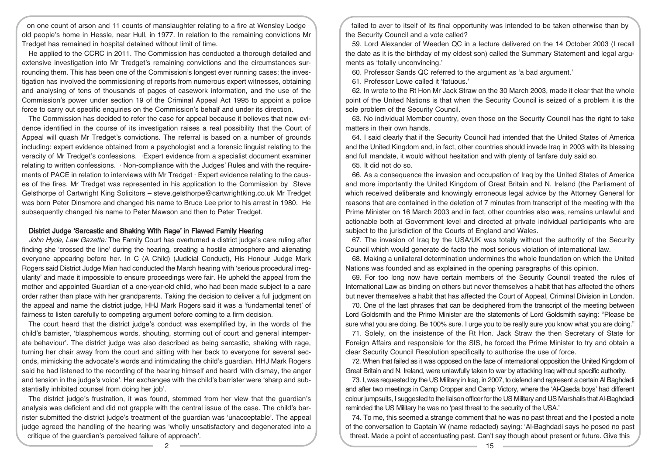on one count of arson and 11 counts of manslaughter relating to a fire at Wensley Lodge old people's home in Hessle, near Hull, in 1977. In relation to the remaining convictions Mr Tredget has remained in hospital detained without limit of time.

He applied to the CCRC in 2011. The Commission has conducted a thorough detailed and extensive investigation into Mr Tredget's remaining convictions and the circumstances surrounding them. This has been one of the Commission's longest ever running cases; the investigation has involved the commissioning of reports from numerous expert witnesses, obtaining and analysing of tens of thousands of pages of casework information, and the use of the Commission's power under section 19 of the Criminal Appeal Act 1995 to appoint a police force to carry out specific enquiries on the Commission's behalf and under its direction.

The Commission has decided to refer the case for appeal because it believes that new evidence identified in the course of its investigation raises a real possibility that the Court of Appeal will quash Mr Tredget's convictions. The referral is based on a number of grounds including: expert evidence obtained from a psychologist and a forensic linguist relating to the veracity of Mr Tredget's confessions. ·Expert evidence from a specialist document examiner relating to written confessions. · Non-compliance with the Judges' Rules and with the requirements of PACE in relation to interviews with Mr Tredget · Expert evidence relating to the causes of the fires. Mr Tredget was represented in his application to the Commission by Steve Gelsthorpe of Cartwright King Solicitors – steve.gelsthorpe@cartwrightking.co.uk Mr Tredget was born Peter Dinsmore and changed his name to Bruce Lee prior to his arrest in 1980. He subsequently changed his name to Peter Mawson and then to Peter Tredget.

## District Judge 'Sarcastic and Shaking With Rage' in Flawed Family Hearing

John Hyde, Law Gazette: The Family Court has overturned a district judge's care ruling after finding she 'crossed the line' during the hearing, creating a hostile atmosphere and alienating everyone appearing before her. In C (A Child) (Judicial Conduct), His Honour Judge Mark Rogers said District Judge Mian had conducted the March hearing with 'serious procedural irregularity' and made it impossible to ensure proceedings were fair. He upheld the appeal from the mother and appointed Guardian of a one-year-old child, who had been made subject to a care order rather than place with her grandparents. Taking the decision to deliver a full judgment on the appeal and name the district judge, HHJ Mark Rogers said it was a 'fundamental tenet' of fairness to listen carefully to competing argument before coming to a firm decision.

The court heard that the district judge's conduct was exemplified by, in the words of the child's barrister, 'blasphemous words, shouting, storming out of court and general intemperate behaviour'. The district judge was also described as being sarcastic, shaking with rage, turning her chair away from the court and sitting with her back to everyone for several seconds, mimicking the advocate's words and intimidating the child's guardian. HHJ Mark Rogers said he had listened to the recording of the hearing himself and heard 'with dismay, the anger and tension in the judge's voice'. Her exchanges with the child's barrister were 'sharp and substantially inhibited counsel from doing her job'.

The district judge's frustration, it was found, stemmed from her view that the guardian's analysis was deficient and did not grapple with the central issue of the case. The child's barrister submitted the district judge's treatment of the guardian was 'unacceptable'. The appeal judge agreed the handling of the hearing was 'wholly unsatisfactory and degenerated into a critique of the guardian's perceived failure of approach'.

failed to aver to itself of its final opportunity was intended to be taken otherwise than by the Security Council and a vote called?

59. Lord Alexander of Weeden QC in a lecture delivered on the 14 October 2003 (I recall the date as it is the birthday of my eldest son) called the Summary Statement and legal arguments as 'totally unconvincing.'

60. Professor Sands QC referred to the argument as 'a bad argument.'

61. Professor Lowe called it 'fatuous.'

62. In wrote to the Rt Hon Mr Jack Straw on the 30 March 2003, made it clear that the whole point of the United Nations is that when the Security Council is seized of a problem it is the sole problem of the Security Council.

63. No individual Member country, even those on the Security Council has the right to take matters in their own hands.

64. I said clearly that if the Security Council had intended that the United States of America and the United Kingdom and, in fact, other countries should invade Iraq in 2003 with its blessing and full mandate, it would without hesitation and with plenty of fanfare duly said so.

65. It did not do so.

66. As a consequence the invasion and occupation of Iraq by the United States of America and more importantly the United Kingdom of Great Britain and N. Ireland (the Parliament of which received deliberate and knowingly erroneous legal advice by the Attorney General for reasons that are contained in the deletion of 7 minutes from transcript of the meeting with the Prime Minister on 16 March 2003 and in fact, other countries also was, remains unlawful and actionable both at Government level and directed at private individual participants who are subject to the jurisdiction of the Courts of England and Wales.

67. The invasion of Iraq by the USA/UK was totally without the authority of the Security Council which would generate de facto the most serious violation of international law.

68. Making a unilateral determination undermines the whole foundation on which the United Nations was founded and as explained in the opening paragraphs of this opinion.

69. For too long now have certain members of the Security Council treated the rules of International Law as binding on others but never themselves a habit that has affected the others but never themselves a habit that has affected the Court of Appeal, Criminal Division in London.

70. One of the last phrases that can be deciphered from the transcript of the meeting between Lord Goldsmith and the Prime Minister are the statements of Lord Goldsmith saying: ''Please be sure what you are doing. Be 100% sure. I urge you to be really sure you know what you are doing."

71. Solely, on the insistence of the Rt Hon. Jack Straw the then Secretary of State for Foreign Affairs and responsible for the SIS, he forced the Prime Minister to try and obtain a clear Security Council Resolution specifically to authorise the use of force.

72. When that failed as it was opposed on the face of international opposition the United Kingdom of Great Britain and N. Ireland, were unlawfully taken to war by attacking Iraq without specific authority.

73. I, was requested by the US Military in Iraq, in 2007, to defend and represent a certain Al Baghdadi and after two meetings in Camp Cropper and Camp Victory, where the 'Al-Qaeda boys' had different colour jumpsuits, I suggested to the liaison officer for the US Military and US Marshalls that Al-Baghdadi reminded the US Military he was no 'past threat to the security of the USA.'

74. To me, this seemed a strange comment that he was no past threat and the I posted a note of the conversation to Captain W (name redacted) saying: 'Al-Baghdadi says he posed no past threat. Made a point of accentuating past. Can't say though about present or future. Give this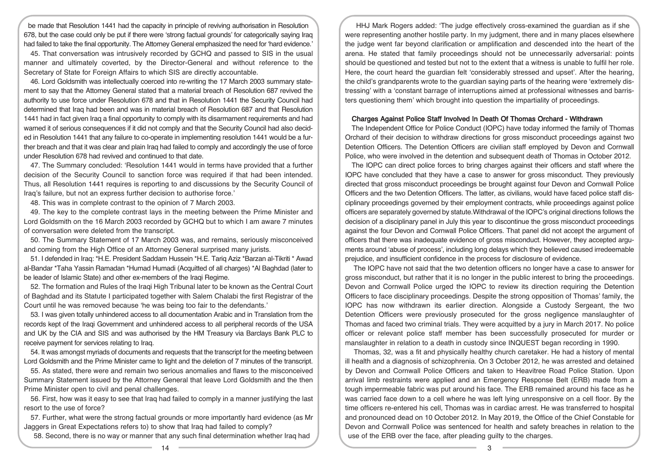be made that Resolution 1441 had the capacity in principle of reviving authorisation in Resolution 678, but the case could only be put if there were 'strong factual grounds' for categorically saying Iraq had failed to take the final opportunity. The Attorney General emphasized the need for 'hard evidence.'

45. That conversation was intrusively recorded by GCHQ and passed to SIS in the usual manner and ultimately coverted, by the Director-General and without reference to the Secretary of State for Foreign Affairs to which SIS are directly accountable.

46. Lord Goldsmith was intellectually coerced into re-writing the 17 March 2003 summary statement to say that the Attorney General stated that a material breach of Resolution 687 revived the authority to use force under Resolution 678 and that in Resolution 1441 the Security Council had determined that Iraq had been and was in material breach of Resolution 687 and that Resolution 1441 had in fact given Iraq a final opportunity to comply with its disarmament requirements and had warned it of serious consequences if it did not comply and that the Security Council had also decided in Resolution 1441 that any failure to co-operate in implementing resolution 1441 would be a further breach and that it was clear and plain Iraq had failed to comply and accordingly the use of force under Resolution 678 had revived and continued to that date.

47. The Summary concluded: 'Resolution 1441 would in terms have provided that a further decision of the Security Council to sanction force was required if that had been intended. Thus, all Resolution 1441 requires is reporting to and discussions by the Security Council of Iraq's failure, but not an express further decision to authorise force.'

48. This was in complete contrast to the opinion of 7 March 2003.

49. The key to the complete contrast lays in the meeting between the Prime Minister and Lord Goldsmith on the 16 March 2003 recorded by GCHQ but to which I am aware 7 minutes of conversation were deleted from the transcript.

50. The Summary Statement of 17 March 2003 was, and remains, seriously misconceived and coming from the High Office of an Attorney General surprised many jurists.

51. I defended in Iraq: \*H.E. President Saddam Hussein \*H.E. Tariq Aziz \*Barzan al-Tikriti \* Awad al-Bandar \*Taha Yassin Ramadan \*Humad Humadi (Acquitted of all charges) \*Al Baghdad (later to be leader of Islamic State) and other ex-members of the Iraqi Regime.

52. The formation and Rules of the Iraqi High Tribunal later to be known as the Central Court of Baghdad and its Statute I participated together with Salem Chalabi the first Registrar of the Court until he was removed because 'he was being too fair to the defendants.'

53. I was given totally unhindered access to all documentation Arabic and in Translation from the records kept of the Iraqi Government and unhindered access to all peripheral records of the USA and UK by the CIA and SIS and was authorised by the HM Treasury via Barclays Bank PLC to receive payment for services relating to Iraq.

54. It was amongst myriads of documents and requests that the transcript for the meeting between Lord Goldsmith and the Prime Minister came to light and the deletion of 7 minutes of the transcript.

55. As stated, there were and remain two serious anomalies and flaws to the misconceived Summary Statement issued by the Attorney General that leave Lord Goldsmith and the then Prime Minister open to civil and penal challenges.

56. First, how was it easy to see that Iraq had failed to comply in a manner justifying the last resort to the use of force?

57. Further, what were the strong factual grounds or more importantly hard evidence (as Mr Jaggers in Great Expectations refers to) to show that Iraq had failed to comply?

58. Second, there is no way or manner that any such final determination whether Iraq had

HHJ Mark Rogers added: 'The judge effectively cross-examined the guardian as if she were representing another hostile party. In my judgment, there and in many places elsewhere the judge went far beyond clarification or amplification and descended into the heart of the arena. He stated that family proceedings should not be unnecessarily adversarial: points should be questioned and tested but not to the extent that a witness is unable to fulfil her role. Here, the court heard the guardian felt 'considerably stressed and upset'. After the hearing, the child's grandparents wrote to the guardian saying parts of the hearing were 'extremely distressing' with a 'constant barrage of interruptions aimed at professional witnesses and barristers questioning them' which brought into question the impartiality of proceedings.

## Charges Against Police Staff Involved In Death Of Thomas Orchard - Withdrawn

The Independent Office for Police Conduct (IOPC) have today informed the family of Thomas Orchard of their decision to withdraw directions for gross misconduct proceedings against two Detention Officers. The Detention Officers are civilian staff employed by Devon and Cornwall Police, who were involved in the detention and subsequent death of Thomas in October 2012.

The IOPC can direct police forces to bring charges against their officers and staff where the IOPC have concluded that they have a case to answer for gross misconduct. They previously directed that gross misconduct proceedings be brought against four Devon and Cornwall Police Officers and the two Detention Officers. The latter, as civilians, would have faced police staff disciplinary proceedings governed by their employment contracts, while proceedings against police officers are separately governed by statute.Withdrawal of the IOPC's original directions follows the decision of a disciplinary panel in July this year to discontinue the gross misconduct proceedings against the four Devon and Cornwall Police Officers. That panel did not accept the argument of officers that there was inadequate evidence of gross misconduct. However, they accepted arguments around 'abuse of process', including long delays which they believed caused irredeemable prejudice, and insufficient confidence in the process for disclosure of evidence.

The IOPC have not said that the two detention officers no longer have a case to answer for gross misconduct, but rather that it is no longer in the public interest to bring the proceedings. Devon and Cornwall Police urged the IOPC to review its direction requiring the Detention Officers to face disciplinary proceedings. Despite the strong opposition of Thomas' family, the IOPC has now withdrawn its earlier direction. Alongside a Custody Sergeant, the two Detention Officers were previously prosecuted for the gross negligence manslaughter of Thomas and faced two criminal trials. They were acquitted by a jury in March 2017. No police officer or relevant police staff member has been successfully prosecuted for murder or manslaughter in relation to a death in custody since INQUEST began recording in 1990.

Thomas, 32, was a fit and physically healthy church caretaker. He had a history of mental ill health and a diagnosis of schizophrenia. On 3 October 2012, he was arrested and detained by Devon and Cornwall Police Officers and taken to Heavitree Road Police Station. Upon arrival limb restraints were applied and an Emergency Response Belt (ERB) made from a tough impermeable fabric was put around his face. The ERB remained around his face as he was carried face down to a cell where he was left lying unresponsive on a cell floor. By the time officers re-entered his cell, Thomas was in cardiac arrest. He was transferred to hospital and pronounced dead on 10 October 2012. In May 2019, the Office of the Chief Constable for Devon and Cornwall Police was sentenced for health and safety breaches in relation to the use of the ERB over the face, after pleading guilty to the charges.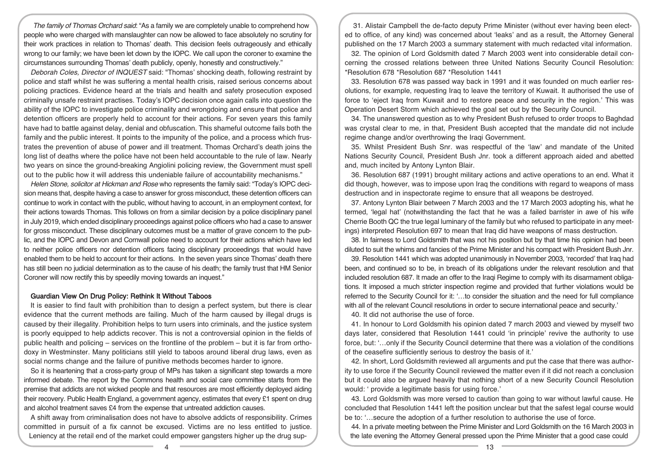The family of Thomas Orchard said: "As a family we are completely unable to comprehend how people who were charged with manslaughter can now be allowed to face absolutely no scrutiny for their work practices in relation to Thomas' death. This decision feels outrageously and ethically wrong to our family; we have been let down by the IOPC. We call upon the coroner to examine the circumstances surrounding Thomas' death publicly, openly, honestly and constructively."

Deborah Coles, Director of INQUEST said: "Thomas' shocking death, following restraint by police and staff whilst he was suffering a mental health crisis, raised serious concerns about policing practices. Evidence heard at the trials and health and safety prosecution exposed criminally unsafe restraint practises. Today's IOPC decision once again calls into question the ability of the IOPC to investigate police criminality and wrongdoing and ensure that police and detention officers are properly held to account for their actions. For seven years this family have had to battle against delay, denial and obfuscation. This shameful outcome fails both the family and the public interest. It points to the impunity of the police, and a process which frustrates the prevention of abuse of power and ill treatment. Thomas Orchard's death joins the long list of deaths where the police have not been held accountable to the rule of law. Nearly two years on since the ground-breaking Angiolini policing review, the Government must spell out to the public how it will address this undeniable failure of accountability mechanisms."

Helen Stone, solicitor at Hickman and Rose who represents the family said: "Today's IOPC decision means that, despite having a case to answer for gross misconduct, these detention officers can continue to work in contact with the public, without having to account, in an employment context, for their actions towards Thomas. This follows on from a similar decision by a police disciplinary panel in July 2019, which ended disciplinary proceedings against police officers who had a case to answer for gross misconduct. These disciplinary outcomes must be a matter of grave concern to the public, and the IOPC and Devon and Cornwall police need to account for their actions which have led to neither police officers nor detention officers facing disciplinary proceedings that would have enabled them to be held to account for their actions. In the seven years since Thomas' death there has still been no judicial determination as to the cause of his death; the family trust that HM Senior Coroner will now rectify this by speedily moving towards an inquest."

## Guardian View On Drug Policy: Rethink It Without Taboos

It is easier to find fault with prohibition than to design a perfect system, but there is clear evidence that the current methods are failing. Much of the harm caused by illegal drugs is caused by their illegality. Prohibition helps to turn users into criminals, and the justice system is poorly equipped to help addicts recover. This is not a controversial opinion in the fields of public health and policing – services on the frontline of the problem – but it is far from orthodoxy in Westminster. Many politicians still yield to taboos around liberal drug laws, even as social norms change and the failure of punitive methods becomes harder to ignore.

So it is heartening that a cross-party group of MPs has taken a significant step towards a more informed debate. The report by the Commons health and social care committee starts from the premise that addicts are not wicked people and that resources are most efficiently deployed aiding their recovery. Public Health England, a government agency, estimates that every £1 spent on drug and alcohol treatment saves £4 from the expense that untreated addiction causes.

A shift away from criminalisation does not have to absolve addicts of responsibility. Crimes committed in pursuit of a fix cannot be excused. Victims are no less entitled to justice. Leniency at the retail end of the market could empower gangsters higher up the drug sup-

31. Alistair Campbell the de-facto deputy Prime Minister (without ever having been elected to office, of any kind) was concerned about 'leaks' and as a result, the Attorney General published on the 17 March 2003 a summary statement with much redacted vital information.

32. The opinion of Lord Goldsmith dated 7 March 2003 went into considerable detail concerning the crossed relations between three United Nations Security Council Resolution: \*Resolution 678 \*Resolution 687 \*Resolution 1441

33. Resolution 678 was passed way back in 1991 and it was founded on much earlier resolutions, for example, requesting Iraq to leave the territory of Kuwait. It authorised the use of force to 'eject Iraq from Kuwait and to restore peace and security in the region.' This was Operation Desert Storm which achieved the goal set out by the Security Council.

34. The unanswered question as to why President Bush refused to order troops to Baghdad was crystal clear to me, in that, President Bush accepted that the mandate did not include regime change and/or overthrowing the Iraqi Government.

35. Whilst President Bush Snr. was respectful of the 'law' and mandate of the United Nations Security Council, President Bush Jnr. took a different approach aided and abetted and, much incited by Antony Lynton Blair.

36. Resolution 687 (1991) brought military actions and active operations to an end. What it did though, however, was to impose upon Iraq the conditions with regard to weapons of mass destruction and in inspectorate regime to ensure that all weapons be destroyed.

37. Antony Lynton Blair between 7 March 2003 and the 17 March 2003 adopting his, what he termed, 'legal hat' (notwithstanding the fact that he was a failed barrister in awe of his wife Cherrie Booth QC the true legal luminary of the family but who refused to participate in any meetings) interpreted Resolution 697 to mean that Iraq did have weapons of mass destruction.

38. In fairness to Lord Goldsmith that was not his position but by that time his opinion had been diluted to suit the whims and fancies of the Prime Minister and his compact with President Bush Jnr.

39. Resolution 1441 which was adopted unanimously in November 2003, 'recorded' that Iraq had been, and continued so to be, in breach of its obligations under the relevant resolution and that included resolution 687. It made an offer to the Iraqi Regime to comply with its disarmament obligations. It imposed a much stricter inspection regime and provided that further violations would be referred to the Security Council for it: '…to consider the situation and the need for full compliance with all of the relevant Council resolutions in order to secure international peace and security.'

40. It did not authorise the use of force.

41. In honour to Lord Goldsmith his opinion dated 7 march 2003 and viewed by myself two days later, considered that Resolution 1441 could 'in principle' revive the authority to use force, but: '…only if the Security Council determine that there was a violation of the conditions of the ceasefire sufficiently serious to destroy the basis of it.'

42. In short, Lord Goldsmith reviewed all arguments and put the case that there was authority to use force if the Security Council reviewed the matter even if it did not reach a conclusion but it could also be argued heavily that nothing short of a new Security Council Resolution would: ' provide a legitimate basis for using force.'

43. Lord Goldsmith was more versed to caution than going to war without lawful cause. He concluded that Resolution 1441 left the position unclear but that the safest legal course would be to: '…secure the adoption of a further resolution to authorise the use of force.

44. In a private meeting between the Prime Minister and Lord Goldsmith on the 16 March 2003 in the late evening the Attorney General pressed upon the Prime Minister that a good case could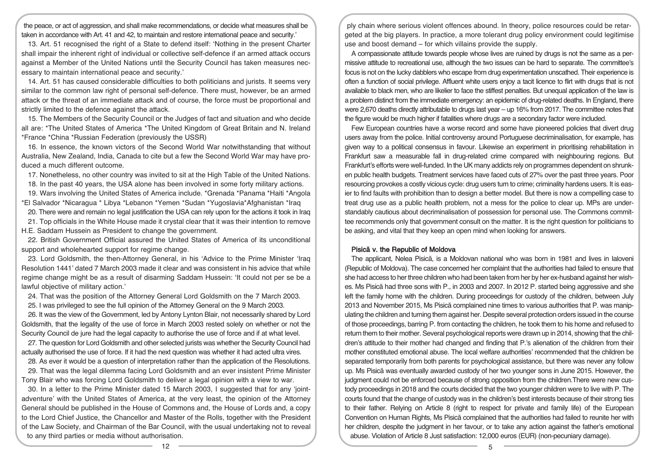the peace, or act of aggression, and shall make recommendations, or decide what measures shall be taken in accordance with Art. 41 and 42, to maintain and restore international peace and security.'

13. Art. 51 recognised the right of a State to defend itself: 'Nothing in the present Charter shall impair the inherent right of individual or collective self-defence if an armed attack occurs against a Member of the United Nations until the Security Council has taken measures necessary to maintain international peace and security.'

14. Art. 51 has caused considerable difficulties to both politicians and jurists. It seems very similar to the common law right of personal self-defence. There must, however, be an armed attack or the threat of an immediate attack and of course, the force must be proportional and strictly limited to the defence against the attack.

15. The Members of the Security Council or the Judges of fact and situation and who decide all are: \*The United States of America \*The United Kingdom of Great Britain and N. Ireland \*France \*China \*Russian Federation (previously the USSR)

16. In essence, the known victors of the Second World War notwithstanding that without Australia, New Zealand, India, Canada to cite but a few the Second World War may have produced a much different outcome.

17. Nonetheless, no other country was invited to sit at the High Table of the United Nations.

18. In the past 40 years, the USA alone has been involved in some forty military actions.

19. Wars involving the United States of America include. \*Grenada \*Panama \*Haiti \*Angola \*El Salvador \*Nicaragua \* Libya \*Lebanon \*Yemen \*Sudan \*Yugoslavia\*Afghanistan \*Iraq

20. There were and remain no legal justification the USA can rely upon for the actions it took in Iraq

21. Top officials in the White House made it crystal clear that it was their intention to remove H.E. Saddam Hussein as President to change the government.

22. British Government Official assured the United States of America of its unconditional support and wholehearted support for regime change.

23. Lord Goldsmith, the then-Attorney General, in his 'Advice to the Prime Minister 'Iraq Resolution 1441' dated 7 March 2003 made it clear and was consistent in his advice that while regime change might be as a result of disarming Saddam Hussein: 'It could not per se be a lawful objective of military action.'

24. That was the position of the Attorney General Lord Goldsmith on the 7 March 2003.

25. I was privileged to see the full opinion of the Attorney General on the 9 March 2003.

26. It was the view of the Government, led by Antony Lynton Blair, not necessarily shared by Lord Goldsmith, that the legality of the use of force in March 2003 rested solely on whether or not the Security Council de jure had the legal capacity to authorise the use of force and if at what level.

27. The question for Lord Goldsmith and other selected jurists was whether the Security Council had actually authorised the use of force. If it had the next question was whether it had acted ultra vires.

28. As ever it would be a question of interpretation rather than the application of the Resolutions.

29. That was the legal dilemma facing Lord Goldsmith and an ever insistent Prime Minister Tony Blair who was forcing Lord Goldsmith to deliver a legal opinion with a view to war.

30. In a letter to the Prime Minister dated 15 March 2003, I suggested that for any 'jointadventure' with the United States of America, at the very least, the opinion of the Attorney General should be published in the House of Commons and, the House of Lords and, a copy to the Lord Chief Justice, the Chancellor and Master of the Rolls, together with the President of the Law Society, and Chairman of the Bar Council, with the usual undertaking not to reveal to any third parties or media without authorisation.

ply chain where serious violent offences abound. In theory, police resources could be retargeted at the big players. In practice, a more tolerant drug policy environment could legitimise use and boost demand – for which villains provide the supply.

A compassionate attitude towards people whose lives are ruined by drugs is not the same as a permissive attitude to recreational use, although the two issues can be hard to separate. The committee's focus is not on the lucky dabblers who escape from drug experimentation unscathed. Their experience is often a function of social privilege. Affluent white users enjoy a tacit licence to flirt with drugs that is not available to black men, who are likelier to face the stiffest penalties. But unequal application of the law is a problem distinct from the immediate emergency: an epidemic of drug-related deaths. In England, there were 2,670 deaths directly attributable to drugs last year – up 16% from 2017. The committee notes that the figure would be much higher if fatalities where drugs are a secondary factor were included.

Few European countries have a worse record and some have pioneered policies that divert drug users away from the police. Initial controversy around Portuguese decriminalisation, for example, has given way to a political consensus in favour. Likewise an experiment in prioritising rehabilitation in Frankfurt saw a measurable fall in drug-related crime compared with neighbouring regions. But Frankfurt's efforts were well-funded. In the UK many addicts rely on programmes dependent on shrunken public health budgets. Treatment services have faced cuts of 27% over the past three years. Poor resourcing provokes a costly vicious cycle: drug users turn to crime; criminality hardens users. It is easier to find faults with prohibition than to design a better model. But there is now a compelling case to treat drug use as a public health problem, not a mess for the police to clear up. MPs are understandably cautious about decriminalisation of possession for personal use. The Commons committee recommends only that government consult on the matter. It is the right question for politicians to be asking, and vital that they keep an open mind when looking for answers.

# Pisică v. the Republic of Moldova

The applicant, Nelea Pisică, is a Moldovan national who was born in 1981 and lives in Ialoveni (Republic of Moldova). The case concerned her complaint that the authorities had failed to ensure that she had access to herthree children who had been taken from her by her ex-husband against her wishes. Ms Pisică had three sons with P., in 2003 and 2007. In 2012 P. started being aggressive and she left the family home with the children. During proceedings for custody of the children, between July 2013 and November 2015, Ms Pisică complained nine times to various authorities that P. was manipulating the children and turning them against her. Despite several protection orders issued in the course of those proceedings, barring P. from contacting the children, he took them to his home and refused to return them to their mother. Several psychological reports were drawn up in 2014, showing that the children's attitude to their mother had changed and finding that P.'s alienation of the children from their mother constituted emotional abuse. The local welfare authorities' recommended that the children be separated temporarily from both parents for psychological assistance, but there was never any follow up. Ms Pisică was eventually awarded custody of her two younger sons in June 2015. However, the judgment could not be enforced because of strong opposition from the children.There were new custody proceedings in 2018 and the courts decided that the two younger children were to live with P. The courts found that the change of custody was in the children's best interests because of their strong ties to their father. Relying on Article 8 (right to respect for private and family life) of the European Convention on Human Rights, Ms Pisică complained that the authorities had failed to reunite her with her children, despite the judgment in her favour, or to take any action against the father's emotional abuse. Violation of Article 8 Just satisfaction: 12,000 euros (EUR) (non-pecuniary damage).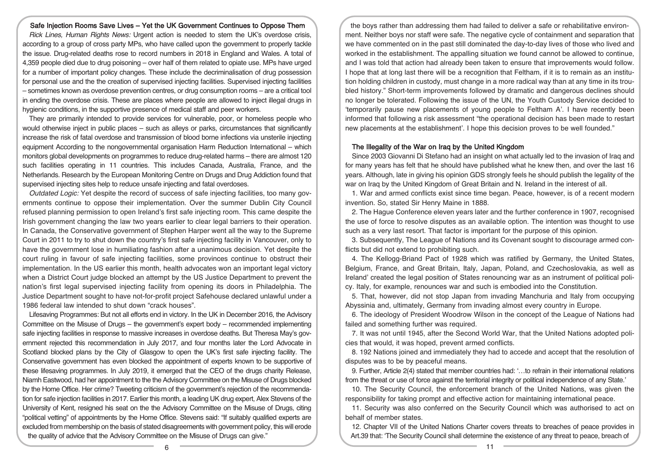## Safe Injection Rooms Save Lives – Yet the UK Government Continues to Oppose Them

Rick Lines, Human Rights News: Urgent action is needed to stem the UK's overdose crisis, according to a group of cross party MPs, who have called upon the government to properly tackle the issue. Drug-related deaths rose to record numbers in 2018 in England and Wales. A total of 4,359 people died due to drug poisoning – over half of them related to opiate use. MPs have urged for a number of important policy changes. These include the decriminalisation of drug possession for personal use and the the creation of supervised injecting facilities. Supervised injecting facilities – sometimes known as overdose prevention centres, or drug consumption rooms – are a critical tool in ending the overdose crisis. These are places where people are allowed to inject illegal drugs in hygienic conditions, in the supportive presence of medical staff and peer workers.

They are primarily intended to provide services for vulnerable, poor, or homeless people who would otherwise inject in public places – such as alleys or parks, circumstances that significantly increase the risk of fatal overdose and transmission of blood borne infections via unsterile injecting equipment According to the nongovernmental organisation Harm Reduction International – which monitors global developments on programmes to reduce drug-related harms – there are almost 120 such facilities operating in 11 countries. This includes Canada, Australia, France, and the Netherlands. Research by the European Monitoring Centre on Drugs and Drug Addiction found that supervised injecting sites help to reduce unsafe injecting and fatal overdoses.

Outdated Logic: Yet despite the record of success of safe injecting facilities, too many governments continue to oppose their implementation. Over the summer Dublin City Council refused planning permission to open Ireland's first safe injecting room. This came despite the Irish government changing the law two years earlier to clear legal barriers to their operation. In Canada, the Conservative government of Stephen Harper went all the way to the Supreme Court in 2011 to try to shut down the country's first safe injecting facility in Vancouver, only to have the government lose in humiliating fashion after a unanimous decision. Yet despite the court ruling in favour of safe injecting facilities, some provinces continue to obstruct their implementation. In the US earlier this month, health advocates won an important legal victory when a District Court judge blocked an attempt by the US Justice Department to prevent the nation's first legal supervised injecting facility from opening its doors in Philadelphia. The Justice Department sought to have not-for-profit project Safehouse declared unlawful under a 1986 federal law intended to shut down "crack houses".

Lifesaving Programmes: But not all efforts end in victory. In the UK in December 2016, the Advisory Committee on the Misuse of Drugs – the government's expert body – recommended implementing safe injecting facilities in response to massive increases in overdose deaths. But Theresa May's government rejected this recommendation in July 2017, and four months later the Lord Advocate in Scotland blocked plans by the City of Glasgow to open the UK's first safe injecting facility. The Conservative government has even blocked the appointment of experts known to be supportive of these lifesaving programmes. In July 2019, it emerged that the CEO of the drugs charity Release, Niamh Eastwood, had her appointment to the the Advisory Committee on the Misuse of Drugs blocked by the Home Office. Her crime? Tweeting criticism of the government's rejection of the recommendation for safe injection facilities in 2017. Earlier this month, a leading UK drug expert, Alex Stevens of the University of Kent, resigned his seat on the the Advisory Committee on the Misuse of Drugs, citing "political vetting" of appointments by the Home Office. Stevens said: "If suitably qualified experts are excluded from membership on the basis of stated disagreements with government policy, this will erode the quality of advice that the Advisory Committee on the Misuse of Drugs can give."

the boys rather than addressing them had failed to deliver a safe or rehabilitative environment. Neither boys nor staff were safe. The negative cycle of containment and separation that we have commented on in the past still dominated the day-to-day lives of those who lived and worked in the establishment. The appalling situation we found cannot be allowed to continue, and I was told that action had already been taken to ensure that improvements would follow. I hope that at long last there will be a recognition that Feltham, if it is to remain as an institution holding children in custody, must change in a more radical way than at any time in its troubled history." Short-term improvements followed by dramatic and dangerous declines should no longer be tolerated. Following the issue of the UN, the Youth Custody Service decided to 'temporarily pause new placements of young people to Feltham A'. I have recently been informed that following a risk assessment "the operational decision has been made to restart new placements at the establishment'. I hope this decision proves to be well founded."

# The Illegality of the War on Iraq by the United Kingdom

Since 2003 Giovanni Di Stefano had an insight on what actually led to the invasion of Iraq and for many years has felt that he should have published what he knew then, and over the last 16 years. Although, late in giving his opinion GDS strongly feels he should publish the legality of the war on Iraq by the United Kingdom of Great Britain and N. Ireland in the interest of all.

1. War and armed conflicts exist since time began. Peace, however, is of a recent modern invention. So, stated Sir Henry Maine in 1888.

2. The Hague Conference eleven years later and the further conference in 1907, recognised the use of force to resolve disputes as an available option. The intention was thought to use such as a very last resort. That factor is important for the purpose of this opinion.

3. Subsequently, The League of Nations and its Covenant sought to discourage armed conflicts but did not extend to prohibiting such.

4. The Kellogg-Briand Pact of 1928 which was ratified by Germany, the United States, Belgium, France, and Great Britain, Italy, Japan, Poland, and Czechoslovakia, as well as Ireland' created the legal position of States renouncing war as an instrument of political policy. Italy, for example, renounces war and such is embodied into the Constitution.

5. That, however, did not stop Japan from invading Manchuria and Italy from occupying Abyssinia and, ultimately, Germany from invading almost every country in Europe.

6. The ideology of President Woodrow Wilson in the concept of the League of Nations had failed and something further was required.

7. It was not until 1945, after the Second World War, that the United Nations adopted policies that would, it was hoped, prevent armed conflicts.

8. 192 Nations joined and immediately they had to accede and accept that the resolution of disputes was to be by peaceful means.

9. Further, Article 2(4) stated that member countries had: '…to refrain in their international relations from the threat or use of force against the territorial integrity or political independence of any State.'

10. The Security Council, the enforcement branch of the United Nations, was given the responsibility for taking prompt and effective action for maintaining international peace.

11. Security was also conferred on the Security Council which was authorised to act on behalf of member states.

12. Chapter VII of the United Nations Charter covers threats to breaches of peace provides in Art.39 that: 'The Security Council shall determine the existence of any threat to peace, breach of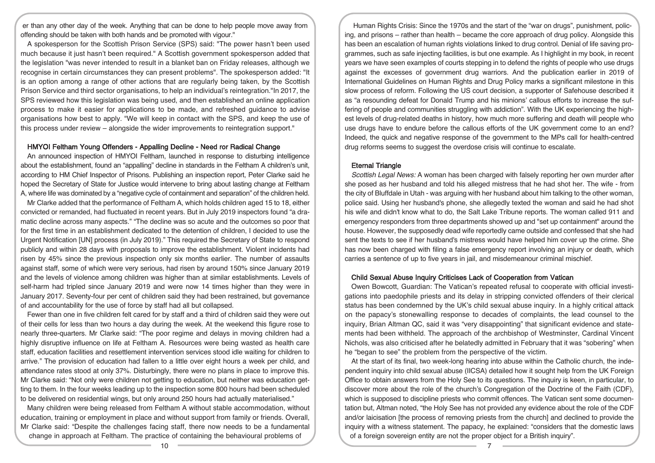er than any other day of the week. Anything that can be done to help people move away from offending should be taken with both hands and be promoted with vigour."

A spokesperson for the Scottish Prison Service (SPS) said: "The power hasn't been used much because it just hasn't been required." A Scottish government spokesperson added that the legislation "was never intended to result in a blanket ban on Friday releases, although we recognise in certain circumstances they can present problems". The spokesperson added: "It is an option among a range of other actions that are regularly being taken, by the Scottish Prison Service and third sector organisations, to help an individual's reintegration."In 2017, the SPS reviewed how this legislation was being used, and then established an online application process to make it easier for applications to be made, and refreshed guidance to advise organisations how best to apply. "We will keep in contact with the SPS, and keep the use of this process under review – alongside the wider improvements to reintegration support."

## HMYOI Feltham Young Offenders - Appalling Decline - Need ror Radical Change

An announced inspection of HMYOI Feltham, launched in response to disturbing intelligence about the establishment, found an "appalling" decline in standards in the Feltham A children's unit, according to HM Chief Inspector of Prisons. Publishing an inspection report, Peter Clarke said he hoped the Secretary of State for Justice would intervene to bring about lasting change at Feltham A, where life was dominated by a "negative cycle of containment and separation" of the children held.

Mr Clarke added that the performance of Feltham A, which holds children aged 15 to 18, either convicted or remanded, had fluctuated in recent years. But in July 2019 inspectors found "a dramatic decline across many aspects." "The decline was so acute and the outcomes so poor that for the first time in an establishment dedicated to the detention of children, I decided to use the Urgent Notification [UN] process (in July 2019)." This required the Secretary of State to respond publicly and within 28 days with proposals to improve the establishment. Violent incidents had risen by 45% since the previous inspection only six months earlier. The number of assaults against staff, some of which were very serious, had risen by around 150% since January 2019 and the levels of violence among children was higher than at similar establishments. Levels of self-harm had tripled since January 2019 and were now 14 times higher than they were in January 2017. Seventy-four per cent of children said they had been restrained, but governance of and accountability for the use of force by staff had all but collapsed.

Fewer than one in five children felt cared for by staff and a third of children said they were out of their cells for less than two hours a day during the week. At the weekend this figure rose to nearly three-quarters. Mr Clarke said: "The poor regime and delays in moving children had a highly disruptive influence on life at Feltham A. Resources were being wasted as health care staff, education facilities and resettlement intervention services stood idle waiting for children to arrive." The provision of education had fallen to a little over eight hours a week per child, and attendance rates stood at only 37%. Disturbingly, there were no plans in place to improve this. Mr Clarke said: "Not only were children not getting to education, but neither was education getting to them. In the four weeks leading up to the inspection some 800 hours had been scheduled to be delivered on residential wings, but only around 250 hours had actually materialised."

Many children were being released from Feltham A without stable accommodation, without education, training or employment in place and without support from family or friends. Overall, Mr Clarke said: "Despite the challenges facing staff, there now needs to be a fundamental change in approach at Feltham. The practice of containing the behavioural problems of

Human Rights Crisis: Since the 1970s and the start of the "war on drugs", punishment, policing, and prisons – rather than health – became the core approach of drug policy. Alongside this has been an escalation of human rights violations linked to drug control. Denial of life saving programmes, such as safe injecting facilities, is but one example. As I highlight in my book, in recent years we have seen examples of courts stepping in to defend the rights of people who use drugs against the excesses of government drug warriors. And the publication earlier in 2019 of International Guidelines on Human Rights and Drug Policy marks a significant milestone in this slow process of reform. Following the US court decision, a supporter of Safehouse described it as "a resounding defeat for Donald Trump and his minions' callous efforts to increase the suffering of people and communities struggling with addiction". With the UK experiencing the highest levels of drug-related deaths in history, how much more suffering and death will people who use drugs have to endure before the callous efforts of the UK government come to an end? Indeed, the quick and negative response of the government to the MPs call for health-centred drug reforms seems to suggest the overdose crisis will continue to escalate.

#### Eternal Triangle

Scottish Legal News: A woman has been charged with falsely reporting her own murder after she posed as her husband and told his alleged mistress that he had shot her. The wife - from the city of Bluffdale in Utah - was arguing with her husband about him talking to the other woman, police said. Using her husband's phone, she allegedly texted the woman and said he had shot his wife and didn't know what to do, the Salt Lake Tribune reports. The woman called 911 and emergency responders from three departments showed up and "set up containment" around the house. However, the supposedly dead wife reportedly came outside and confessed that she had sent the texts to see if her husband's mistress would have helped him cover up the crime. She has now been charged with filing a false emergency report involving an injury or death, which carries a sentence of up to five years in jail, and misdemeanour criminal mischief.

## Child Sexual Abuse Inquiry Criticises Lack of Cooperation from Vatican

Owen Bowcott, Guardian: The Vatican's repeated refusal to cooperate with official investigations into paedophile priests and its delay in stripping convicted offenders of their clerical status has been condemned by the UK's child sexual abuse inquiry. In a highly critical attack on the papacy's stonewalling response to decades of complaints, the lead counsel to the inquiry, Brian Altman QC, said it was "very disappointing" that significant evidence and statements had been withheld. The approach of the archbishop of Westminster, Cardinal Vincent Nichols, was also criticised after he belatedly admitted in February that it was "sobering" when he "began to see" the problem from the perspective of the victim.

At the start of its final, two week-long hearing into abuse within the Catholic church, the independent inquiry into child sexual abuse (IICSA) detailed how it sought help from the UK Foreign Office to obtain answers from the Holy See to its questions. The inquiry is keen, in particular, to discover more about the role of the church's Congregation of the Doctrine of the Faith (CDF), which is supposed to discipline priests who commit offences. The Vatican sent some documentation but, Altman noted, "the Holy See has not provided any evidence about the role of the CDF and/or laicisation [the process of removing priests from the church] and declined to provide the inquiry with a witness statement. The papacy, he explained: "considers that the domestic laws of a foreign sovereign entity are not the proper object for a British inquiry".